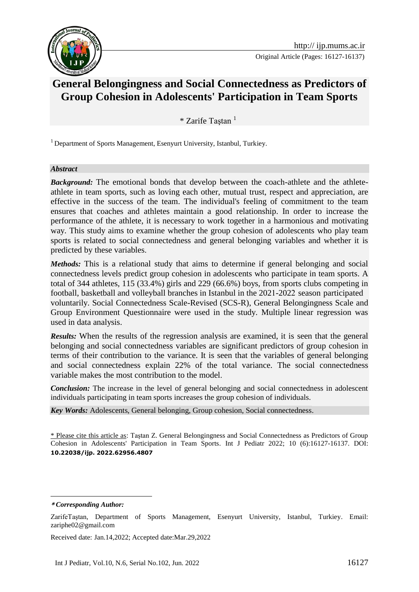

# **General Belongingness and Social Connectedness as Predictors of Group Cohesion in Adolescents' Participation in Team Sports**

\* Zarife Taştan <sup>1</sup>**<sup>1</sup>**

<sup>1</sup> Department of Sports Management, Esenyurt University, Istanbul, Turkiey.

#### *Abstract*

*Background:* The emotional bonds that develop between the coach-athlete and the athleteathlete in team sports, such as loving each other, mutual trust, respect and appreciation, are effective in the success of the team. The individual's feeling of commitment to the team ensures that coaches and athletes maintain a good relationship. In order to increase the performance of the athlete, it is necessary to work together in a harmonious and motivating way. This study aims to examine whether the group cohesion of adolescents who play team sports is related to social connectedness and general belonging variables and whether it is predicted by these variables.

*Methods:* This is a relational study that aims to determine if general belonging and social connectedness levels predict group cohesion in adolescents who participate in team sports. A total of 344 athletes, 115 (33.4%) girls and 229 (66.6%) boys, from sports clubs competing in football, basketball and volleyball branches in Istanbul in the 2021-2022 season participated voluntarily. Social Connectedness Scale-Revised (SCS-R), General Belongingness Scale and Group Environment Questionnaire were used in the study. Multiple linear regression was used in data analysis.

*Results:* When the results of the regression analysis are examined, it is seen that the general belonging and social connectedness variables are significant predictors of group cohesion in terms of their contribution to the variance. It is seen that the variables of general belonging and social connectedness explain 22% of the total variance. The social connectedness variable makes the most contribution to the model.

*Conclusion:* The increase in the level of general belonging and social connectedness in adolescent individuals participating in team sports increases the group cohesion of individuals.

*Key Words:* Adolescents, General belonging, Group cohesion, Social connectedness.

\* Please cite this article as: Taştan Z. General Belongingness and Social Connectedness as Predictors of Group Cohesion in Adolescents' Participation in Team Sports. Int J Pediatr 2022; 10 (6):16127-16137. DOI: **10.22038/ijp. 2022.62956.4807**

Received date: Jan.14,2022; Accepted date:Mar.29,2022

**<sup>\*</sup>** *Corresponding Author:*

ZarifeTaştan, Department of Sports Management, Esenyurt University, Istanbul, Turkiey. Email: zariphe02@gmail.com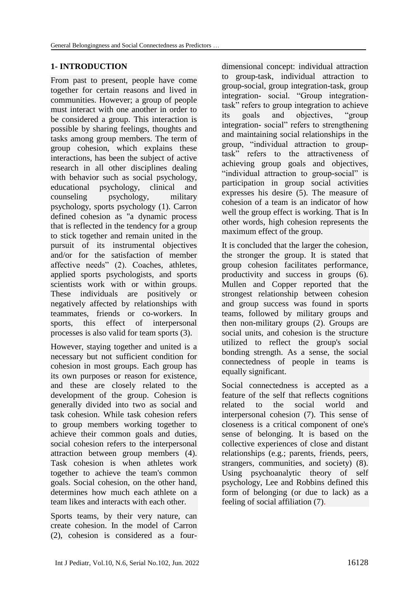# **1- INTRODUCTION**

From past to present, people have come together for certain reasons and lived in communities. However; a group of people must interact with one another in order to be considered a group. This interaction is possible by sharing feelings, thoughts and tasks among group members. The term of group cohesion, which explains these interactions, has been the subject of active research in all other disciplines dealing with behavior such as social psychology, educational psychology, clinical and counseling psychology, military psychology, sports psychology (1). Carron defined cohesion as "a dynamic process that is reflected in the tendency for a group to stick together and remain united in the pursuit of its instrumental objectives and/or for the satisfaction of member affective needs" (2). Coaches, athletes, applied sports psychologists, and sports scientists work with or within groups. These individuals are positively or negatively affected by relationships with teammates, friends or co-workers. In sports, this effect of interpersonal processes is also valid for team sports (3).

However, staying together and united is a necessary but not sufficient condition for cohesion in most groups. Each group has its own purposes or reason for existence, and these are closely related to the development of the group. Cohesion is generally divided into two as social and task cohesion. While task cohesion refers to group members working together to achieve their common goals and duties, social cohesion refers to the interpersonal attraction between group members (4). Task cohesion is when athletes work together to achieve the team's common goals. Social cohesion, on the other hand, determines how much each athlete on a team likes and interacts with each other.

Sports teams, by their very nature, can create cohesion. In the model of Carron (2), cohesion is considered as a fourdimensional concept: individual attraction to group-task, individual attraction to group-social, group integration-task, group integration- social. "Group integrationtask" refers to group integration to achieve its goals and objectives, "group integration- social" refers to strengthening and maintaining social relationships in the group, "individual attraction to grouptask" refers to the attractiveness of achieving group goals and objectives, "individual attraction to group-social" is participation in group social activities expresses his desire (5). The measure of cohesion of a team is an indicator of how well the group effect is working. That is In other words, high cohesion represents the maximum effect of the group.

It is concluded that the larger the cohesion, the stronger the group. It is stated that group cohesion facilitates performance, productivity and success in groups (6). Mullen and Copper reported that the strongest relationship between cohesion and group success was found in sports teams, followed by military groups and then non-military groups (2). Groups are social units, and cohesion is the structure utilized to reflect the group's social bonding strength. As a sense, the social connectedness of people in teams is equally significant.

Social connectedness is accepted as a feature of the self that reflects cognitions related to the social world and interpersonal cohesion (7). This sense of closeness is a critical component of one's sense of belonging. It is based on the collective experiences of close and distant relationships (e.g.; parents, friends, peers, strangers, communities, and society) (8). Using psychoanalytic theory of self psychology, Lee and Robbins defined this form of belonging (or due to lack) as a feeling of social affiliation (7).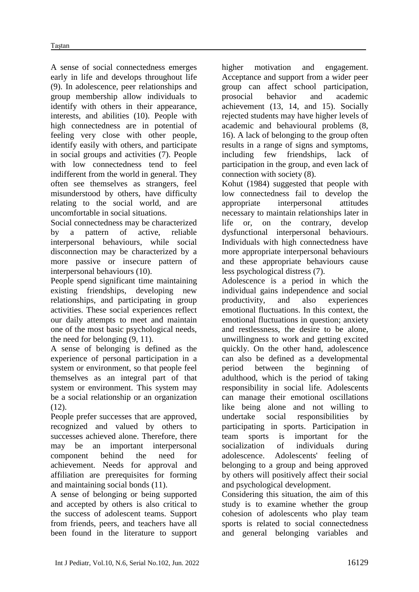A sense of social connectedness emerges early in life and develops throughout life (9). In adolescence, peer relationships and group membership allow individuals to identify with others in their appearance, interests, and abilities (10). People with high connectedness are in potential of feeling very close with other people, identify easily with others, and participate in social groups and activities (7). People with low connectedness tend to feel indifferent from the world in general. They often see themselves as strangers, feel misunderstood by others, have difficulty relating to the social world, and are uncomfortable in social situations.

Social connectedness may be characterized by a pattern of active, reliable interpersonal behaviours, while social disconnection may be characterized by a more passive or insecure pattern of interpersonal behaviours (10).

People spend significant time maintaining existing friendships, developing new relationships, and participating in group activities. These social experiences reflect our daily attempts to meet and maintain one of the most basic psychological needs, the need for belonging (9, 11).

A sense of belonging is defined as the experience of personal participation in a system or environment, so that people feel themselves as an integral part of that system or environment. This system may be a social relationship or an organization (12).

People prefer successes that are approved, recognized and valued by others to successes achieved alone. Therefore, there may be an important interpersonal component behind the need for achievement. Needs for approval and affiliation are prerequisites for forming and maintaining social bonds (11).

A sense of belonging or being supported and accepted by others is also critical to the success of adolescent teams. Support from friends, peers, and teachers have all been found in the literature to support higher motivation and engagement. Acceptance and support from a wider peer group can affect school participation, prosocial behavior and academic achievement (13, 14, and 15). Socially rejected students may have higher levels of academic and behavioural problems (8, 16). A lack of belonging to the group often results in a range of signs and symptoms, including few friendships, lack of participation in the group, and even lack of connection with society (8).

Kohut (1984) suggested that people with low connectedness fail to develop the appropriate interpersonal attitudes necessary to maintain relationships later in life or, on the contrary, develop dysfunctional interpersonal behaviours. Individuals with high connectedness have more appropriate interpersonal behaviours and these appropriate behaviours cause less psychological distress (7).

Adolescence is a period in which the individual gains independence and social productivity, and also experiences emotional fluctuations. In this context, the emotional fluctuations in question; anxiety and restlessness, the desire to be alone, unwillingness to work and getting excited quickly. On the other hand, adolescence can also be defined as a developmental period between the beginning of adulthood, which is the period of taking responsibility in social life. Adolescents can manage their emotional oscillations like being alone and not willing to undertake social responsibilities by participating in sports. Participation in team sports is important for the socialization of individuals during adolescence. Adolescents' feeling of belonging to a group and being approved by others will positively affect their social and psychological development.

Considering this situation, the aim of this study is to examine whether the group cohesion of adolescents who play team sports is related to social connectedness and general belonging variables and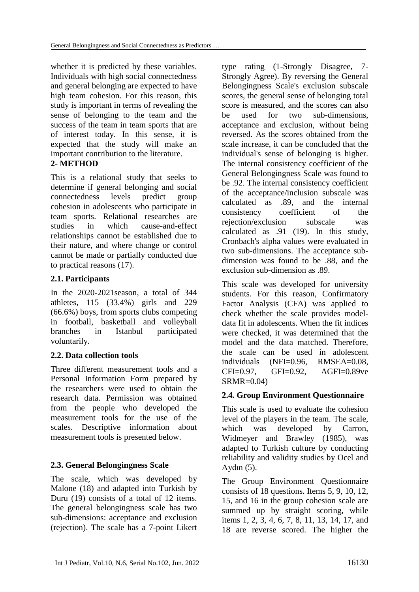whether it is predicted by these variables. Individuals with high social connectedness and general belonging are expected to have high team cohesion. For this reason, this study is important in terms of revealing the sense of belonging to the team and the success of the team in team sports that are of interest today. In this sense, it is expected that the study will make an important contribution to the literature.

#### **2- METHOD**

This is a relational study that seeks to determine if general belonging and social connectedness levels predict group cohesion in adolescents who participate in team sports. Relational researches are studies in which cause-and-effect relationships cannot be established due to their nature, and where change or control cannot be made or partially conducted due to practical reasons (17).

#### **2.1. Participants**

In the 2020-2021season, a total of 344 athletes, 115 (33.4%) girls and 229 (66.6%) boys, from sports clubs competing in football, basketball and volleyball branches in Istanbul participated voluntarily.

#### **2.2. Data collection tools**

Three different measurement tools and a Personal Information Form prepared by the researchers were used to obtain the research data. Permission was obtained from the people who developed the measurement tools for the use of the scales. Descriptive information about measurement tools is presented below.

# **2.3. General Belongingness Scale**

The scale, which was developed by Malone (18) and adapted into Turkish by Duru (19) consists of a total of 12 items. The general belongingness scale has two sub-dimensions: acceptance and exclusion (rejection). The scale has a 7-point Likert

type rating (1-Strongly Disagree, 7- Strongly Agree). By reversing the General Belongingness Scale's exclusion subscale scores, the general sense of belonging total score is measured, and the scores can also be used for two sub-dimensions acceptance and exclusion, without being reversed. As the scores obtained from the scale increase, it can be concluded that the individual's sense of belonging is higher. The internal consistency coefficient of the General Belongingness Scale was found to be .92. The internal consistency coefficient of the acceptance/inclusion subscale was calculated as .89, and the internal consistency coefficient of the rejection/exclusion subscale was calculated as .91 (19). In this study, Cronbach's alpha values were evaluated in two sub-dimensions. The acceptance subdimension was found to be .88, and the exclusion sub-dimension as .89.

This scale was developed for university students. For this reason, Confirmatory Factor Analysis (CFA) was applied to check whether the scale provides modeldata fit in adolescents. When the fit indices were checked, it was determined that the model and the data matched. Therefore, the scale can be used in adolescent individuals (NFI=0.96, RMSEA=0.08, CFI=0.97, GFI=0.92, AGFI=0.89ve SRMR=0.04)

#### **2.4. Group Environment Questionnaire**

This scale is used to evaluate the cohesion level of the players in the team. The scale, which was developed by Carron, Widmeyer and Brawley (1985), was adapted to Turkish culture by conducting reliability and validity studies by Ocel and Aydın (5).

The Group Environment Questionnaire consists of 18 questions. Items 5, 9, 10, 12, 15, and 16 in the group cohesion scale are summed up by straight scoring, while items 1, 2, 3, 4, 6, 7, 8, 11, 13, 14, 17, and 18 are reverse scored. The higher the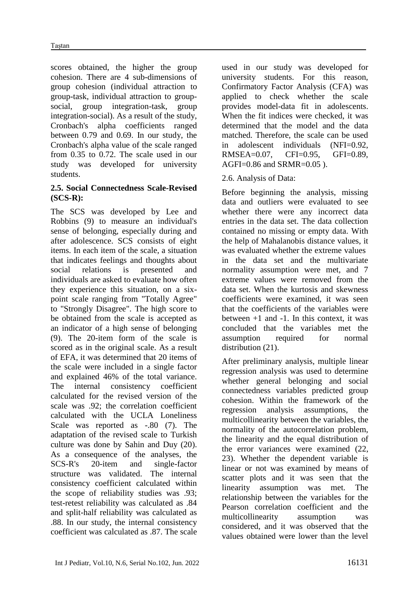scores obtained, the higher the group cohesion. There are 4 sub-dimensions of group cohesion (individual attraction to group-task, individual attraction to groupsocial, group integration-task, group integration-social). As a result of the study, Cronbach's alpha coefficients ranged between 0.79 and 0.69. In our study, the Cronbach's alpha value of the scale ranged from 0.35 to 0.72. The scale used in our study was developed for university students.

### **2.5. Social Connectedness Scale-Revised (SCS-R):**

The SCS was developed by Lee and Robbins (9) to measure an individual's sense of belonging, especially during and after adolescence. SCS consists of eight items. In each item of the scale, a situation that indicates feelings and thoughts about social relations is presented and individuals are asked to evaluate how often they experience this situation, on a sixpoint scale ranging from "Totally Agree" to "Strongly Disagree". The high score to be obtained from the scale is accepted as an indicator of a high sense of belonging (9). The 20-item form of the scale is scored as in the original scale. As a result of EFA, it was determined that 20 items of the scale were included in a single factor and explained 46% of the total variance. The internal consistency coefficient calculated for the revised version of the scale was .92; the correlation coefficient calculated with the UCLA Loneliness Scale was reported as -.80 (7). The adaptation of the revised scale to Turkish culture was done by Sahin and Duy (20). As a consequence of the analyses, the SCS-R's 20-item and single-factor structure was validated. The internal consistency coefficient calculated within the scope of reliability studies was .93; test-retest reliability was calculated as .84 and split-half reliability was calculated as .88. In our study, the internal consistency coefficient was calculated as .87. The scale used in our study was developed for university students. For this reason, Confirmatory Factor Analysis (CFA) was applied to check whether the scale provides model-data fit in adolescents. When the fit indices were checked, it was determined that the model and the data matched. Therefore, the scale can be used in adolescent individuals (NFI=0.92, RMSEA=0.07, CFI=0.95, GFI=0.89, AGFI=0.86 and SRMR=0.05 ).

# 2.6. Analysis of Data:

Before beginning the analysis, missing data and outliers were evaluated to see whether there were any incorrect data entries in the data set. The data collection contained no missing or empty data. With the help of Mahalanobis distance values, it was evaluated whether the extreme values in the data set and the multivariate normality assumption were met, and 7 extreme values were removed from the data set. When the kurtosis and skewness coefficients were examined, it was seen that the coefficients of the variables were between +1 and -1. In this context, it was concluded that the variables met the assumption required for normal distribution  $(21)$ .

After preliminary analysis, multiple linear regression analysis was used to determine whether general belonging and social connectedness variables predicted group cohesion. Within the framework of the regression analysis assumptions, the multicollinearity between the variables, the normality of the autocorrelation problem, the linearity and the equal distribution of the error variances were examined (22, 23). Whether the dependent variable is linear or not was examined by means of scatter plots and it was seen that the linearity assumption was met. The relationship between the variables for the Pearson correlation coefficient and the multicollinearity assumption was considered, and it was observed that the values obtained were lower than the level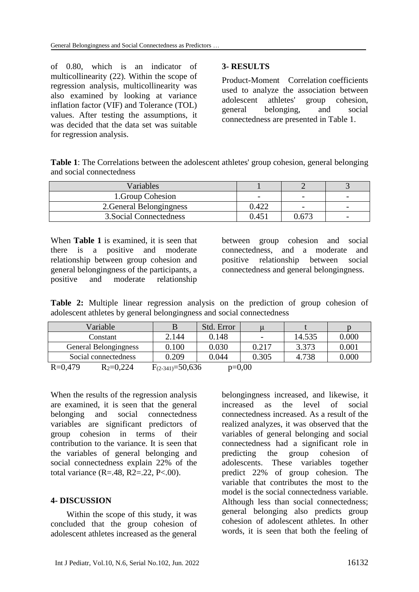of 0.80, which is an indicator of multicollinearity (22). Within the scope of regression analysis, multicollinearity was also examined by looking at variance inflation factor (VIF) and Tolerance (TOL) values. After testing the assumptions, it was decided that the data set was suitable for regression analysis.

#### **3- RESULTS**

Product-Moment Correlation coefficients used to analyze the association between adolescent athletes' group cohesion, general belonging, and social connectedness are presented in Table 1.

**Table 1**: The Correlations between the adolescent athletes' group cohesion, general belonging and social connectedness

| Variables                |       |       |                          |
|--------------------------|-------|-------|--------------------------|
| 1. Group Cohesion        | -     |       | $\overline{\phantom{0}}$ |
| 2. General Belongingness | 0.422 |       | $\overline{\phantom{0}}$ |
| 3. Social Connectedness  | 0.45i | 0.673 | $\overline{\phantom{0}}$ |

When **Table 1** is examined, it is seen that there is a positive and moderate relationship between group cohesion and general belongingness of the participants, a positive and moderate relationship

between group cohesion and social connectedness, and a moderate and positive relationship between social connectedness and general belongingness.

**Table 2:** Multiple linear regression analysis on the prediction of group cohesion of adolescent athletes by general belongingness and social connectedness

| Variable                     |                        | Std. Error |       |        |       |
|------------------------------|------------------------|------------|-------|--------|-------|
| Constant                     | 2.144                  | 0.148      | -     | 14.535 | 0.000 |
| General Belongingness        | 0.100                  | 0.030      | 0.217 | 3.373  | 0.001 |
| Social connectedness         | 0.209                  | 0.044      | 0.305 | 4.738  | 0.000 |
| $R = 0,479$<br>$R_2 = 0,224$ | $F_{(2-341)} = 50,636$ | $p=0,00$   |       |        |       |

When the results of the regression analysis are examined, it is seen that the general belonging and social connectedness variables are significant predictors of group cohesion in terms of their contribution to the variance. It is seen that the variables of general belonging and social connectedness explain 22% of the total variance  $(R=.48, R2=.22, P<.00)$ .

#### **4- DISCUSSION**

Within the scope of this study, it was concluded that the group cohesion of adolescent athletes increased as the general belongingness increased, and likewise, it increased as the level of social connectedness increased. As a result of the realized analyzes, it was observed that the variables of general belonging and social connectedness had a significant role in predicting the group cohesion of adolescents. These variables together predict 22% of group cohesion. The variable that contributes the most to the model is the social connectedness variable. Although less than social connectedness; general belonging also predicts group cohesion of adolescent athletes. In other words, it is seen that both the feeling of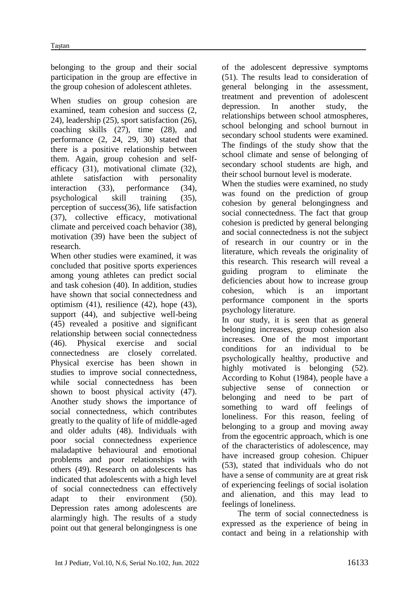belonging to the group and their social participation in the group are effective in the group cohesion of adolescent athletes.

When studies on group cohesion are examined, team cohesion and success (2, 24), leadership (25), sport satisfaction (26), coaching skills (27), time (28), and performance (2, 24, 29, 30) stated that there is a positive relationship between them. Again, group cohesion and selfefficacy (31), motivational climate (32), athlete satisfaction with personality interaction (33), performance (34), psychological skill training (35), perception of success(36), life satisfaction (37), collective efficacy, motivational climate and perceived coach behavior (38), motivation (39) have been the subject of research.

When other studies were examined, it was concluded that positive sports experiences among young athletes can predict social and task cohesion (40). In addition, studies have shown that social connectedness and optimism (41), resilience (42), hope (43), support (44), and subjective well-being (45) revealed a positive and significant relationship between social connectedness (46). Physical exercise and social connectedness are closely correlated. Physical exercise has been shown in studies to improve social connectedness, while social connectedness has been shown to boost physical activity (47). Another study shows the importance of social connectedness, which contributes greatly to the quality of life of middle-aged and older adults (48). Individuals with poor social connectedness experience maladaptive behavioural and emotional problems and poor relationships with others (49). Research on adolescents has indicated that adolescents with a high level of social connectedness can effectively adapt to their environment (50). Depression rates among adolescents are alarmingly high. The results of a study point out that general belongingness is one of the adolescent depressive symptoms (51). The results lead to consideration of general belonging in the assessment, treatment and prevention of adolescent depression. In another study, the relationships between school atmospheres, school belonging and school burnout in secondary school students were examined. The findings of the study show that the school climate and sense of belonging of secondary school students are high, and their school burnout level is moderate.

When the studies were examined, no study was found on the prediction of group cohesion by general belongingness and social connectedness. The fact that group cohesion is predicted by general belonging and social connectedness is not the subject of research in our country or in the literature, which reveals the originality of this research. This research will reveal a guiding program to eliminate the deficiencies about how to increase group cohesion, which is an important performance component in the sports psychology literature.

In our study, it is seen that as general belonging increases, group cohesion also increases. One of the most important conditions for an individual to be psychologically healthy, productive and highly motivated is belonging (52). According to Kohut (1984), people have a subjective sense of connection or belonging and need to be part of something to ward off feelings of loneliness. For this reason, feeling of belonging to a group and moving away from the egocentric approach, which is one of the characteristics of adolescence, may have increased group cohesion. Chipuer (53), stated that individuals who do not have a sense of community are at great risk of experiencing feelings of social isolation and alienation, and this may lead to feelings of loneliness.

The term of social connectedness is expressed as the experience of being in contact and being in a relationship with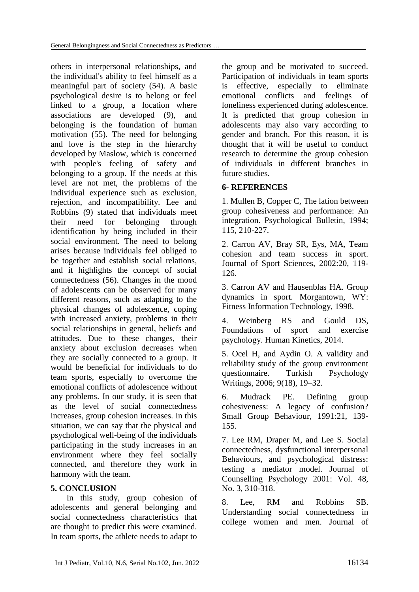others in interpersonal relationships, and the individual's ability to feel himself as a meaningful part of society (54). A basic psychological desire is to belong or feel linked to a group, a location where associations are developed (9), and belonging is the foundation of human motivation (55). The need for belonging and love is the step in the hierarchy developed by Maslow, which is concerned with people's feeling of safety and belonging to a group. If the needs at this level are not met, the problems of the individual experience such as exclusion, rejection, and incompatibility. Lee and Robbins (9) stated that individuals meet their need for belonging through identification by being included in their social environment. The need to belong arises because individuals feel obliged to be together and establish social relations, and it highlights the concept of social connectedness (56). Changes in the mood of adolescents can be observed for many different reasons, such as adapting to the physical changes of adolescence, coping with increased anxiety, problems in their social relationships in general, beliefs and attitudes. Due to these changes, their anxiety about exclusion decreases when they are socially connected to a group. It would be beneficial for individuals to do team sports, especially to overcome the emotional conflicts of adolescence without any problems. In our study, it is seen that as the level of social connectedness increases, group cohesion increases. In this situation, we can say that the physical and psychological well-being of the individuals participating in the study increases in an environment where they feel socially connected, and therefore they work in harmony with the team.

#### **5. CONCLUSION**

In this study, group cohesion of adolescents and general belonging and social connectedness characteristics that are thought to predict this were examined. In team sports, the athlete needs to adapt to the group and be motivated to succeed. Participation of individuals in team sports is effective, especially to eliminate emotional conflicts and feelings of loneliness experienced during adolescence. It is predicted that group cohesion in adolescents may also vary according to gender and branch. For this reason, it is thought that it will be useful to conduct research to determine the group cohesion of individuals in different branches in future studies.

## **6- REFERENCES**

1. Mullen B, Copper C, The lation between group cohesiveness and performance: An integration. Psychological Bulletin, 1994; 115, 210-227.

2. Carron AV, Bray SR, Eys, MA, Team cohesion and team success in sport. Journal of Sport Sciences, 2002:20, 119- 126.

3. Carron AV and Hausenblas HA. Group dynamics in sport. Morgantown, WY: Fitness Information Technology, 1998.

4. Weinberg RS and Gould DS, Foundations of sport and exercise psychology. Human Kinetics, 2014.

5. Ocel H, and Aydin O. A validity and reliability study of the group environment questionnaire. Turkish Psychology Writings, 2006; 9(18), 19–32.

6. Mudrack PE. Defining group cohesiveness: A legacy of confusion? Small Group Behaviour, 1991:21, 139- 155.

7. Lee RM, Draper M, and Lee S. Social connectedness, dysfunctional interpersonal Behaviours, and psychological distress: testing a mediator model. Journal of Counselling Psychology 2001: Vol. 48, No. 3, 310-318.

8. Lee, RM and Robbins SB. Understanding social connectedness in college women and men. Journal of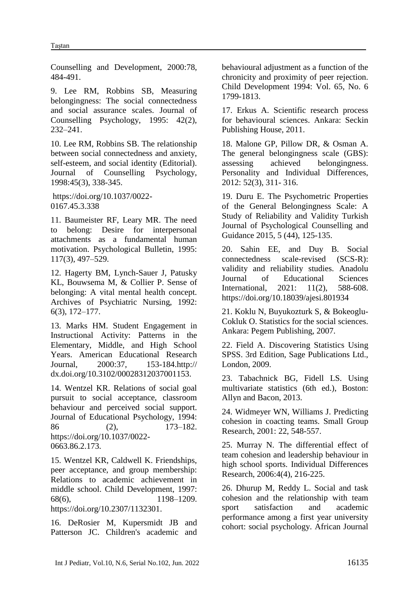Counselling and Development, 2000:78, 484-491.

9. Lee RM, Robbins SB, Measuring belongingness: The social connectedness and social assurance scales. Journal of Counselling Psychology, 1995: 42(2), 232–241.

10. Lee RM, Robbins SB. The relationship between social connectedness and anxiety, self-esteem, and social identity (Editorial). Journal of Counselling Psychology, 1998:45(3), 338-345.

[https://doi.org/10.1037/0022-](https://psycnet.apa.org/doi/10.1037/0022-0167.45.3.338) [0167.45.3.338](https://psycnet.apa.org/doi/10.1037/0022-0167.45.3.338)

11. Baumeister RF, Leary MR. The need to belong: Desire for interpersonal attachments as a fundamental human motivation. Psychological Bulletin, 1995: 117(3), 497–529.

12. Hagerty BM, Lynch-Sauer J, Patusky KL, Bouwsema M, & Collier P. Sense of belonging: A vital mental health concept. Archives of Psychiatric Nursing, 1992: 6(3), 172–177.

13. Marks HM. Student Engagement in Instructional Activity: Patterns in the Elementary, Middle, and High School Years. American Educational Research Journal, 2000:37, 153-184.http:// dx.doi.org/10.3102/00028312037001153.

14. Wentzel KR. Relations of social goal pursuit to social acceptance, classroom behaviour and perceived social support. Journal of Educational Psychology, 1994: 86 (2), 173–182. [https://doi.org/10.1037/0022-](https://psycnet.apa.org/doi/10.1037/0022-0663.86.2.173) [0663.86.2.173.](https://psycnet.apa.org/doi/10.1037/0022-0663.86.2.173)

15. Wentzel KR, Caldwell K. Friendships, peer acceptance, and group membership: Relations to academic achievement in middle school. Child Development, 1997: 68(6), 1198–1209. [https://doi.org/10.2307/1132301.](https://psycnet.apa.org/doi/10.2307/1132301)

16. DeRosier M, Kupersmidt JB and Patterson JC. Children's academic and behavioural adjustment as a function of the chronicity and proximity of peer rejection. Child Development 1994: [Vol.](https://www.jstor.org/stable/i247406) 65, No. 6 1799-1813.

17. Erkus A. Scientific research process for behavioural sciences. Ankara: Seckin Publishing House, 2011.

18. Malone GP, Pillow DR, & Osman A. The general belongingness scale (GBS): assessing achieved belongingness. Personality and Individual Differences, 2012: 52(3), 311- 316.

19. Duru E. The Psychometric Properties of the General Belongingness Scale: A Study of Reliability and Validity Turkish Journal of Psychological Counselling and Guidance 2015, 5 (44), 125-135.

20. Sahin EE, and Duy B. Social connectedness scale-revised (SCS-R): validity and reliability studies. Anadolu Journal of Educational Sciences International, 2021: 11(2), 588-608. <https://doi.org/10.18039/ajesi.801934>

21. Koklu N, Buyukozturk S, & Bokeoglu-Cokluk O. Statistics for the social sciences. Ankara: Pegem Publishing, 2007.

22. Field A. Discovering Statistics Using SPSS. 3rd Edition, Sage Publications Ltd., London, 2009.

23. Tabachnick BG, Fidell LS. Using multivariate statistics (6th ed.), Boston: Allyn and Bacon, 2013.

24. Widmeyer WN, Williams J. Predicting cohesion in coacting teams. Small Group Research, 2001: 22, 548-557.

25. Murray N. The differential effect of team cohesion and leadership behaviour in high school sports. Individual Differences Research, 2006:4(4), 216-225.

26. Dhurup M, Reddy L. Social and task cohesion and the relationship with team sport satisfaction and academic performance among a first year university cohort: social psychology. African Journal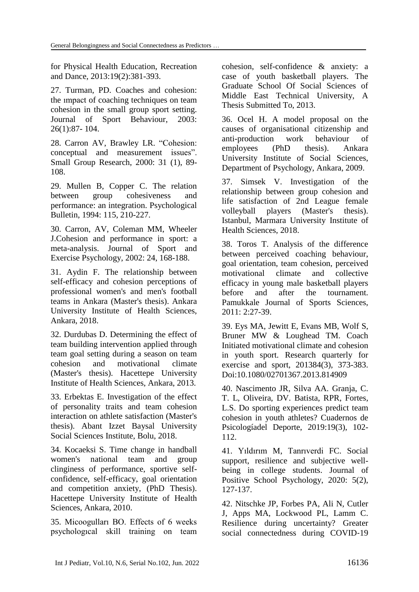for Physical Health Education, Recreation and Dance, 2013:19(2):381-393.

27. Turman, PD. Coaches and cohesion: the ımpact of coaching techniques on team cohesion in the small group sport setting. Journal of Sport Behaviour, 2003: 26(1):87- 104.

28. Carron AV, Brawley LR. "Cohesion: conceptual and measurement issues". Small Group Research, 2000: 31 (1), 89- 108.

29. Mullen B, Copper C. The relation between group cohesiveness and performance: an integration. Psychological Bulletin, 1994: 115, 210-227.

30. Carron, AV, Coleman MM, Wheeler J.Cohesion and performance in sport: a meta-analysis. Journal of Sport and Exercise Psychology, 2002: 24, 168-188.

31. Aydin F. The relationship between self-efficacy and cohesion perceptions of professional women's and men's football teams in Ankara (Master's thesis). Ankara University Institute of Health Sciences, Ankara, 2018.

32. Durdubas D. Determining the effect of team building intervention applied through team goal setting during a season on team cohesion and motivational climate (Master's thesis). Hacettepe University Institute of Health Sciences, Ankara, 2013.

33. Erbektas E. Investigation of the effect of personality traits and team cohesion interaction on athlete satisfaction (Master's thesis). Abant Izzet Baysal University Social Sciences Institute, Bolu, 2018.

34. Kocaeksi S. Time change in handball women's national team and group clinginess of performance, sportive selfconfidence, self-efficacy, goal orientation and competition anxiety, (PhD Thesis). Hacettepe University Institute of Health Sciences, Ankara, 2010.

35. Micoogulları BO. Effects of 6 weeks psychologıcal skill training on team cohesion, self-confidence & anxiety: a case of youth basketball players. The Graduate School Of Social Sciences of Middle East Technical University, A Thesis Submitted To, 2013.

36. Ocel H. A model proposal on the causes of organisational citizenship and anti-production work behaviour of employees (PhD thesis). Ankara University Institute of Social Sciences, Department of Psychology, Ankara, 2009.

37. Simsek V. Investigation of the relationship between group cohesion and life satisfaction of 2nd League female volleyball players (Master's thesis). Istanbul, Marmara University Institute of Health Sciences, 2018.

38. Toros T. Analysis of the difference between perceived coaching behaviour, goal orientation, team cohesion, perceived motivational climate and collective efficacy in young male basketball players before and after the tournament. Pamukkale Journal of Sports Sciences, 2011: 2:27-39.

39. Eys MA, Jewitt E, Evans MB, Wolf S, Bruner MW & Loughead TM. Coach Initiated motivational climate and cohesion in youth sport. Research quarterly for exercise and sport, 201384(3), 373-383. Doi:10.1080/02701367.2013.814909

40. Nascimento JR, Silva AA. Granja, C. T. L, Oliveira, DV. Batista, RPR, Fortes, L.S. Do sporting experiences predict team cohesion in youth athletes? Cuadernos de Psicologíadel Deporte, 2019:19(3), 102- 112.

41. Yıldırım M, Tanrıverdi FC. Social support, resilience and subjective wellbeing in college students. Journal of Positive School Psychology, 2020: 5(2), 127-137.

42. Nitschke JP, Forbes PA, Ali N, Cutler J, Apps MA, Lockwood PL, Lamm C. Resilience during uncertainty? Greater social connectedness during COVID-19